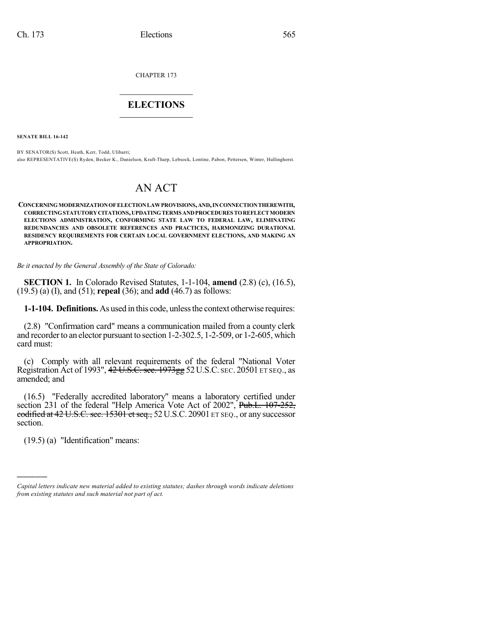CHAPTER 173

# $\overline{\phantom{a}}$  . The set of the set of the set of the set of the set of the set of the set of the set of the set of the set of the set of the set of the set of the set of the set of the set of the set of the set of the set o **ELECTIONS**  $\_$

**SENATE BILL 16-142**

BY SENATOR(S) Scott, Heath, Kerr, Todd, Ulibarri; also REPRESENTATIVE(S) Ryden, Becker K., Danielson, Kraft-Tharp, Lebsock, Lontine, Pabon, Pettersen, Winter, Hullinghorst.

# AN ACT

**CONCERNINGMODERNIZATIONOFELECTIONLAWPROVISIONS,AND,INCONNECTIONTHEREWITH, CORRECTINGSTATUTORYCITATIONS,UPDATINGTERMS ANDPROCEDURES TOREFLECTMODERN ELECTIONS ADMINISTRATION, CONFORMING STATE LAW TO FEDERAL LAW, ELIMINATING REDUNDANCIES AND OBSOLETE REFERENCES AND PRACTICES, HARMONIZING DURATIONAL RESIDENCY REQUIREMENTS FOR CERTAIN LOCAL GOVERNMENT ELECTIONS, AND MAKING AN APPROPRIATION.**

*Be it enacted by the General Assembly of the State of Colorado:*

**SECTION 1.** In Colorado Revised Statutes, 1-1-104, **amend** (2.8) (c), (16.5), (19.5) (a) (I), and (51); **repeal** (36); and **add** (46.7) as follows:

**1-1-104. Definitions.** As used in this code, unlessthe context otherwise requires:

(2.8) "Confirmation card" means a communication mailed from a county clerk and recorder to an elector pursuant to section 1-2-302.5, 1-2-509, or 1-2-605, which card must:

(c) Comply with all relevant requirements of the federal "National Voter Registration Act of 1993", 42 U.S.C. sec. 1973gg 52U.S.C. SEC. 20501 ET SEQ., as amended; and

(16.5) "Federally accredited laboratory" means a laboratory certified under section 231 of the federal "Help America Vote Act of 2002", Pub.L. 107-252, codified at 42 U.S.C. sec. 15301 et seq., 52 U.S.C. 20901 ET SEQ., or any successor section.

(19.5) (a) "Identification" means:

)))))

*Capital letters indicate new material added to existing statutes; dashes through words indicate deletions from existing statutes and such material not part of act.*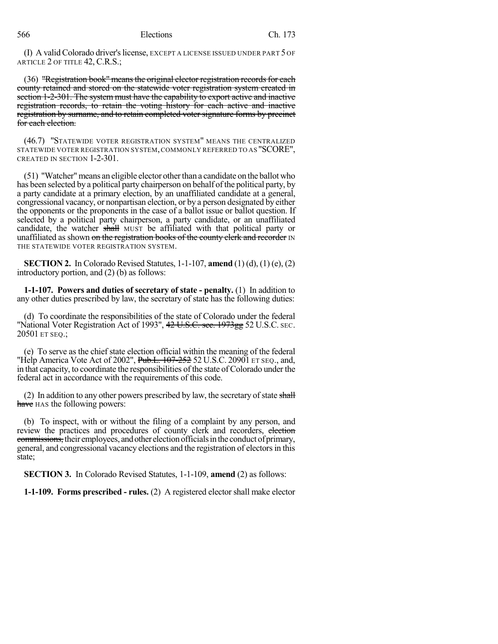(I) A validColorado driver'slicense, EXCEPT A LICENSE ISSUED UNDER PART 5 OF ARTICLE 2 OF TITLE 42, C.R.S.;

(36) "Registration book" means the original elector registration records for each county retained and stored on the statewide voter registration system created in section 1-2-301. The system must have the capability to export active and inactive registration records, to retain the voting history for each active and inactive registration by surname, and to retain completed voter signature forms by precinct for each election.

(46.7) "STATEWIDE VOTER REGISTRATION SYSTEM" MEANS THE CENTRALIZED STATEWIDE VOTER REGISTRATION SYSTEM,COMMONLY REFERRED TO AS "SCORE", CREATED IN SECTION 1-2-301.

(51) "Watcher"means an eligible elector otherthan a candidate on the ballot who has been selected by a political party chairperson on behalf of the political party, by a party candidate at a primary election, by an unaffiliated candidate at a general, congressional vacancy, or nonpartisan election, or by a person designated by either the opponents or the proponents in the case of a ballot issue or ballot question. If selected by a political party chairperson, a party candidate, or an unaffiliated candidate, the watcher shall MUST be affiliated with that political party or unaffiliated as shown on the registration books of the county clerk and recorder IN THE STATEWIDE VOTER REGISTRATION SYSTEM.

**SECTION 2.** In Colorado Revised Statutes, 1-1-107, **amend** (1) (d), (1) (e), (2) introductory portion, and (2) (b) as follows:

**1-1-107. Powers and duties of secretary of state - penalty.** (1) In addition to any other duties prescribed by law, the secretary of state has the following duties:

(d) To coordinate the responsibilities of the state of Colorado under the federal "National Voter Registration Act of 1993", 42 U.S.C. sec. 1973gg 52 U.S.C. SEC. 20501 ET SEQ.;

(e) To serve as the chief state election official within the meaning of the federal "Help America Vote Act of 2002", Pub.L. 107-252 52 U.S.C. 20901 ET SEQ., and, in that capacity, to coordinate the responsibilities of the state of Colorado under the federal act in accordance with the requirements of this code.

(2) In addition to any other powers prescribed by law, the secretary of state shall have HAS the following powers:

(b) To inspect, with or without the filing of a complaint by any person, and review the practices and procedures of county clerk and recorders, election commissions, their employees, and other election officials in the conduct of primary, general, and congressional vacancy elections and the registration of electorsin this state;

**SECTION 3.** In Colorado Revised Statutes, 1-1-109, **amend** (2) as follows:

**1-1-109. Forms prescribed - rules.** (2) A registered elector shall make elector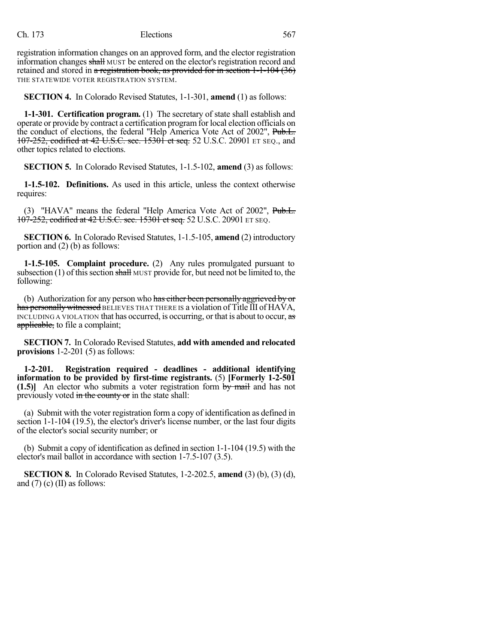registration information changes on an approved form, and the elector registration information changes shall MUST be entered on the elector's registration record and retained and stored in a registration book, as provided for in section 1-1-104 (36) THE STATEWIDE VOTER REGISTRATION SYSTEM.

**SECTION 4.** In Colorado Revised Statutes, 1-1-301, **amend** (1) as follows:

**1-1-301. Certification program.** (1) The secretary of state shall establish and operate or provide by contract a certification programfor local election officials on the conduct of elections, the federal "Help America Vote Act of 2002", Pub.L. 107-252, codified at 42 U.S.C. sec. 15301 et seq. 52 U.S.C. 20901 ET SEQ., and other topics related to elections.

**SECTION 5.** In Colorado Revised Statutes, 1-1.5-102, **amend** (3) as follows:

**1-1.5-102. Definitions.** As used in this article, unless the context otherwise requires:

(3) "HAVA" means the federal "Help America Vote Act of 2002", Pub.L. 107-252, codified at 42 U.S.C. sec. 15301 et seq. 52 U.S.C. 20901 ET SEQ.

**SECTION 6.** In Colorado Revised Statutes, 1-1.5-105, **amend** (2) introductory portion and (2) (b) as follows:

**1-1.5-105. Complaint procedure.** (2) Any rules promulgated pursuant to subsection  $(1)$  of this section shall MUST provide for, but need not be limited to, the following:

(b) Authorization for any person who has either been personally aggrieved by or has personally witnessed BELIEVES THAT THERE IS a violation of Title III of HAVA, INCLUDING A VIOLATION that has occurred, is occurring, or that is about to occur, as applicable, to file a complaint;

**SECTION 7.** In Colorado Revised Statutes, **add with amended and relocated provisions** 1-2-201 (5) as follows:

**1-2-201. Registration required - deadlines - additional identifying information to be provided by first-time registrants.** (5) **[Formerly 1-2-501 (1.5)]** An elector who submits a voter registration form by mail and has not previously voted in the county or in the state shall:

(a) Submit with the voter registration form a copy of identification as defined in section 1-1-104 (19.5), the elector's driver's license number, or the last four digits of the elector's social security number; or

(b) Submit a copy of identification as defined in section 1-1-104 (19.5) with the elector's mail ballot in accordance with section 1-7.5-107 (3.5).

**SECTION 8.** In Colorado Revised Statutes, 1-2-202.5, **amend** (3) (b), (3) (d), and  $(7)$  (c) (II) as follows: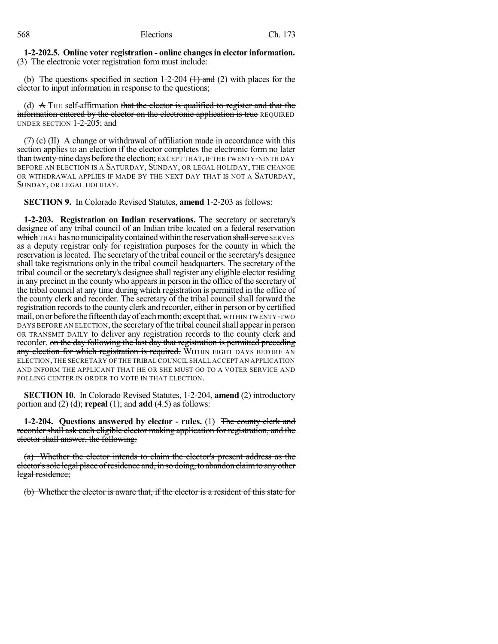#### **1-2-202.5. Online voter registration - online changesin elector information.** (3) The electronic voter registration form must include:

(b) The questions specified in section 1-2-204  $(1)$  and (2) with places for the elector to input information in response to the questions;

(d)  $\land$  THE self-affirmation that the elector is qualified to register and that the information entered by the elector on the electronic application is true REQUIRED UNDER SECTION 1-2-205; and

(7) (c) (II) A change or withdrawal of affiliation made in accordance with this section applies to an election if the elector completes the electronic form no later than twenty-nine days before the election; EXCEPT THAT,IF THE TWENTY-NINTH DAY BEFORE AN ELECTION IS A SATURDAY, SUNDAY, OR LEGAL HOLIDAY, THE CHANGE OR WITHDRAWAL APPLIES IF MADE BY THE NEXT DAY THAT IS NOT A SATURDAY, SUNDAY, OR LEGAL HOLIDAY.

**SECTION 9.** In Colorado Revised Statutes, **amend** 1-2-203 as follows:

**1-2-203. Registration on Indian reservations.** The secretary or secretary's designee of any tribal council of an Indian tribe located on a federal reservation which THAT has no municipality contained within the reservation shall serve SERVES as a deputy registrar only for registration purposes for the county in which the reservation islocated. The secretary of the tribal council or the secretary's designee shall take registrations only in the tribal council headquarters. The secretary of the tribal council or the secretary's designee shall register any eligible elector residing in any precinct in the county who appears in person in the office of the secretary of the tribal council at any time during which registration is permitted in the office of the county clerk and recorder. The secretary of the tribal council shall forward the registration records to the county clerk and recorder, either in person or by certified mail, on or before the fifteenth day of each month; except that, WITHIN TWENTY-TWO DAYS BEFORE AN ELECTION, the secretary of the tribal council shall appear in person OR TRANSMIT DAILY to deliver any registration records to the county clerk and recorder. on the day following the last day that registration is permitted preceding any election for which registration is required. WITHIN EIGHT DAYS BEFORE AN ELECTION,THE SECRETARY OF THE TRIBAL COUNCIL SHALL ACCEPT AN APPLICATION AND INFORM THE APPLICANT THAT HE OR SHE MUST GO TO A VOTER SERVICE AND POLLING CENTER IN ORDER TO VOTE IN THAT ELECTION.

**SECTION 10.** In Colorado Revised Statutes, 1-2-204, **amend** (2) introductory portion and (2) (d); **repeal** (1); and **add** (4.5) as follows:

**1-2-204. Questions answered by elector - rules.** (1) The county clerk and recorder shall ask each eligible elector making application for registration, and the elector shall answer, the following:

(a) Whether the elector intends to claim the elector's present address as the elector'ssole legal place ofresidence and, in so doing, to abandon claimto anyother legal residence;

(b) Whether the elector is aware that, if the elector is a resident of this state for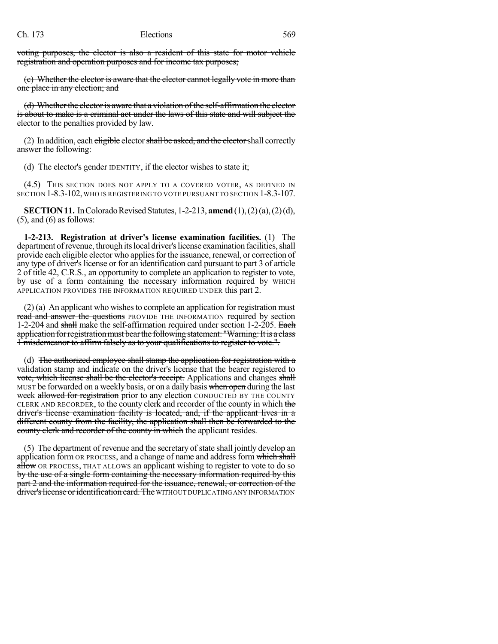voting purposes, the elector is also a resident of this state for motor vehicle registration and operation purposes and for income tax purposes;

(c) Whether the elector is aware that the elector cannot legally vote in more than one place in any election; and

(d) Whether the elector is aware that a violation of the self-affirmation the elector is about to make is a criminal act under the laws of this state and will subject the elector to the penalties provided by law.

(2) In addition, each eligible elector shall be asked, and the elector shall correctly answer the following:

(d) The elector's gender IDENTITY, if the elector wishes to state it;

(4.5) THIS SECTION DOES NOT APPLY TO A COVERED VOTER, AS DEFINED IN SECTION 1-8.3-102, WHO IS REGISTERING TO VOTE PURSUANT TO SECTION 1-8.3-107.

**SECTION 11.** In Colorado Revised Statutes, 1-2-213, **amend** (1), (2)(a), (2)(d),  $(5)$ , and  $(6)$  as follows:

**1-2-213. Registration at driver's license examination facilities.** (1) The department of revenue, through its local driver's license examination facilities, shall provide each eligible elector who applies for the issuance, renewal, or correction of any type of driver's license or for an identification card pursuant to part 3 of article 2 of title 42, C.R.S., an opportunity to complete an application to register to vote, by use of a form containing the necessary information required by WHICH APPLICATION PROVIDES THE INFORMATION REQUIRED UNDER this part 2.

 $(2)$  (a) An applicant who wishes to complete an application for registration must read and answer the questions PROVIDE THE INFORMATION required by section 1-2-204 and shall make the self-affirmation required under section 1-2-205. Each application for registration must bear the following statement: "Warning: It is a class 1 misdemeanor to affirm falsely as to your qualifications to register to vote.".

(d) The authorized employee shall stamp the application for registration with a validation stamp and indicate on the driver's license that the bearer registered to vote, which license shall be the elector's receipt. Applications and changes shall MUST be forwarded on a weekly basis, or on a daily basis when open during the last week allowed for registration prior to any election CONDUCTED BY THE COUNTY CLERK AND RECORDER, to the county clerk and recorder of the county in which the driver's license examination facility is located, and, if the applicant lives in a different county from the facility, the application shall then be forwarded to the county clerk and recorder of the county in which the applicant resides.

(5) The department of revenue and the secretary of state shall jointly develop an application form OR PROCESS, and a change of name and address form which shall allow OR PROCESS, THAT ALLOWS an applicant wishing to register to vote to do so by the use of a single form containing the necessary information required by this part 2 and the information required for the issuance, renewal, or correction of the driver's license or identification card. The WITHOUT DUPLICATING ANY INFORMATION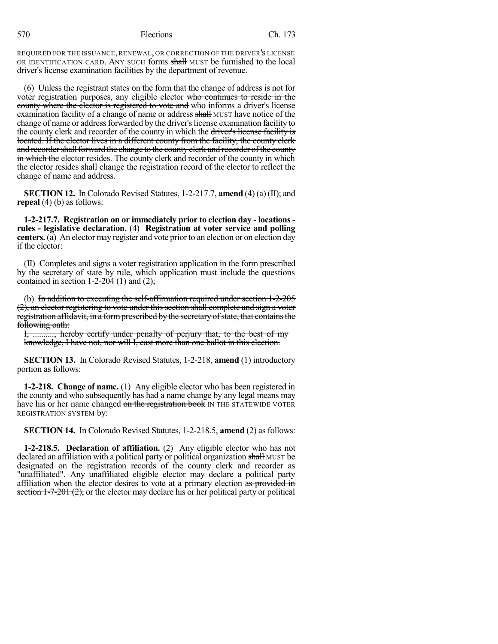REQUIRED FOR THE ISSUANCE, RENEWAL, OR CORRECTION OF THE DRIVER'S LICENSE OR IDENTIFICATION CARD. ANY SUCH forms shall MUST be furnished to the local driver's license examination facilities by the department of revenue.

(6) Unless the registrant states on the form that the change of address is not for voter registration purposes, any eligible elector who continues to reside in the county where the elector is registered to vote and who informs a driver's license examination facility of a change of name or address shall MUST have notice of the change of name or address forwarded by the driver's license examination facility to the county clerk and recorder of the county in which the driver's license facility is located. If the elector lives in a different county from the facility, the county clerk and recorder shall forward the change to the county clerk and recorder of the county in which the elector resides. The county clerk and recorder of the county in which the elector resides shall change the registration record of the elector to reflect the change of name and address.

**SECTION 12.** In Colorado Revised Statutes, 1-2-217.7, **amend** (4) (a) (II); and **repeal** (4) (b) as follows:

**1-2-217.7. Registration on or immediately prior to election day - locations rules - legislative declaration.** (4) **Registration at voter service and polling centers.** (a) An elector may register and vote prior to an election or on election day if the elector:

(II) Completes and signs a voter registration application in the form prescribed by the secretary of state by rule, which application must include the questions contained in section 1-2-204  $(1)$  and (2);

(b) In addition to executing the self-affirmation required under section 1-2-205 (2), an elector registering to vote under this section shall complete and sign a voter registration affidavit, in a form prescribed by the secretary of state, that contains the following oath:

I, .........., hereby certify under penalty of perjury that, to the best of my knowledge, I have not, nor will I, cast more than one ballot in this election.

**SECTION 13.** In Colorado Revised Statutes, 1-2-218, **amend** (1) introductory portion as follows:

**1-2-218. Change of name.** (1) Any eligible elector who has been registered in the county and who subsequently has had a name change by any legal means may have his or her name changed on the registration book IN THE STATEWIDE VOTER REGISTRATION SYSTEM by:

**SECTION 14.** In Colorado Revised Statutes, 1-2-218.5, **amend** (2) as follows:

**1-2-218.5. Declaration of affiliation.** (2) Any eligible elector who has not declared an affiliation with a political party or political organization shall MUST be designated on the registration records of the county clerk and recorder as "unaffiliated". Any unaffiliated eligible elector may declare a political party affiliation when the elector desires to vote at a primary election as provided in section  $1-7-201(2)$ , or the elector may declare his or her political party or political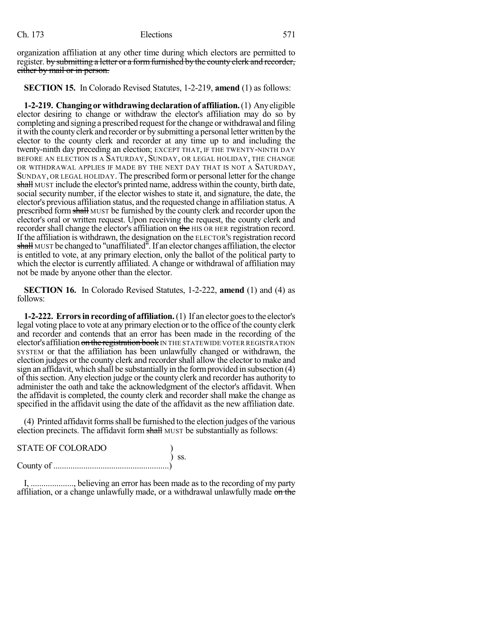organization affiliation at any other time during which electors are permitted to register. by submitting a letter or a form furnished by the county clerk and recorder, either by mail or in person.

#### **SECTION 15.** In Colorado Revised Statutes, 1-2-219, **amend** (1) as follows:

**1-2-219. Changing or withdrawing declaration of affiliation.** (1) Any eligible elector desiring to change or withdraw the elector's affiliation may do so by completing and signing a prescribed request for the change or withdrawal and filing it with the county clerk and recorder or by submitting a personal letter written by the elector to the county clerk and recorder at any time up to and including the twenty-ninth day preceding an election; EXCEPT THAT, IF THE TWENTY-NINTH DAY BEFORE AN ELECTION IS A SATURDAY, SUNDAY, OR LEGAL HOLIDAY, THE CHANGE OR WITHDRAWAL APPLIES IF MADE BY THE NEXT DAY THAT IS NOT A SATURDAY, SUNDAY, OR LEGAL HOLIDAY. The prescribed formor personal letter for the change shall MUST include the elector's printed name, address within the county, birth date, social security number, if the elector wishes to state it, and signature, the date, the elector's previous affiliation status, and the requested change in affiliation status. A prescribed formshall MUST be furnished by the county clerk and recorder upon the elector's oral or written request. Upon receiving the request, the county clerk and recorder shall change the elector's affiliation on the HIS OR HER registration record. If the affiliation is withdrawn, the designation on the ELECTOR'S registration record shall MUST be changed to "unaffiliated". If an elector changes affiliation, the elector is entitled to vote, at any primary election, only the ballot of the political party to which the elector is currently affiliated. A change or withdrawal of affiliation may not be made by anyone other than the elector.

**SECTION 16.** In Colorado Revised Statutes, 1-2-222, **amend** (1) and (4) as follows:

**1-2-222. Errorsin recording of affiliation.**(1) If an elector goesto the elector's legal voting place to vote at any primary election or to the office of the county clerk and recorder and contends that an error has been made in the recording of the elector's affiliation on the registration book IN THE STATEWIDE VOTER REGISTRATION SYSTEM or that the affiliation has been unlawfully changed or withdrawn, the election judges or the county clerk and recordershall allow the elector to make and sign an affidavit, which shall be substantially in the formprovided in subsection (4) of thissection. Any election judge or the county clerk and recorder has authority to administer the oath and take the acknowledgment of the elector's affidavit. When the affidavit is completed, the county clerk and recorder shall make the change as specified in the affidavit using the date of the affidavit as the new affiliation date.

(4) Printed affidavit forms shall be furnished to the election judges of the various election precincts. The affidavit form shall MUST be substantially as follows:

| <b>STATE OF COLORADO</b> |                              |
|--------------------------|------------------------------|
|                          | $\overline{\phantom{a}}$ SS. |
|                          |                              |

I, ...................., believing an error has been made as to the recording of my party affiliation, or a change unlawfully made, or a withdrawal unlawfully made on the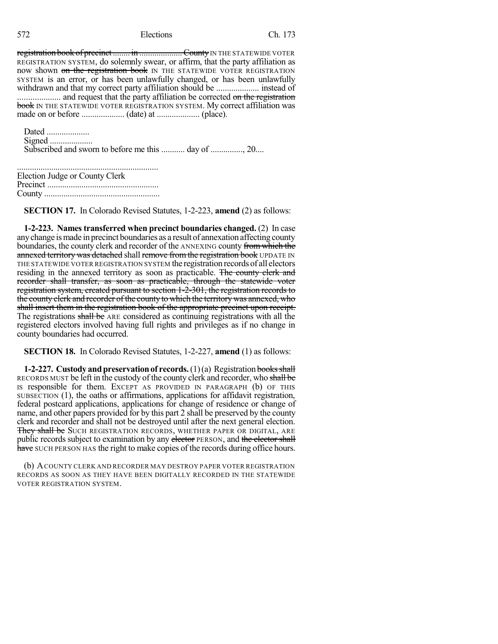registration book of precinct ........ in ..................... County IN THE STATEWIDE VOTER REGISTRATION SYSTEM, do solemnly swear, or affirm, that the party affiliation as now shown on the registration book IN THE STATEWIDE VOTER REGISTRATION SYSTEM is an error, or has been unlawfully changed, or has been unlawfully withdrawn and that my correct party affiliation should be .................... instead of .................... and request that the party affiliation be corrected on the registration book IN THE STATEWIDE VOTER REGISTRATION SYSTEM. My correct affiliation was made on or before .................... (date) at .................... (place).

Dated .................... Signed .................... Subscribed and sworn to before me this ........... day of ..............., 20....

| Election Judge or County Clerk |  |
|--------------------------------|--|
|                                |  |
|                                |  |

**SECTION 17.** In Colorado Revised Statutes, 1-2-223, **amend** (2) as follows:

**1-2-223. Names transferred when precinct boundaries changed.** (2) In case anychange ismade in precinct boundaries as a result of annexation affecting county boundaries, the county clerk and recorder of the ANNEXING county from which the annexed territory was detached shall remove from the registration book UPDATE IN THE STATEWIDE VOTER REGISTRATION SYSTEM the registration records of all electors residing in the annexed territory as soon as practicable. The county clerk and recorder shall transfer, as soon as practicable, through the statewide voter registration system, created pursuant to section 1-2-301, the registration records to the county clerk and recorder of the county to which the territory was annexed, who shall insert them in the registration book of the appropriate precinct upon receipt. The registrations shall be ARE considered as continuing registrations with all the registered electors involved having full rights and privileges as if no change in county boundaries had occurred.

**SECTION 18.** In Colorado Revised Statutes, 1-2-227, **amend** (1) as follows:

**1-2-227. Custody** and preservation of records. (1)(a) Registration books shall RECORDS MUST be left in the custody of the county clerk and recorder, who shall be IS responsible for them. EXCEPT AS PROVIDED IN PARAGRAPH (b) OF THIS SUBSECTION (1), the oaths or affirmations, applications for affidavit registration, federal postcard applications, applications for change of residence or change of name, and other papers provided for by this part 2 shall be preserved by the county clerk and recorder and shall not be destroyed until after the next general election. They shall be SUCH REGISTRATION RECORDS, WHETHER PAPER OR DIGITAL, ARE public records subject to examination by any elector PERSON, and the elector shall have SUCH PERSON HAS the right to make copies of the records during office hours.

(b) ACOUNTY CLERK AND RECORDER MAY DESTROY PAPER VOTER REGISTRATION RECORDS AS SOON AS THEY HAVE BEEN DIGITALLY RECORDED IN THE STATEWIDE VOTER REGISTRATION SYSTEM.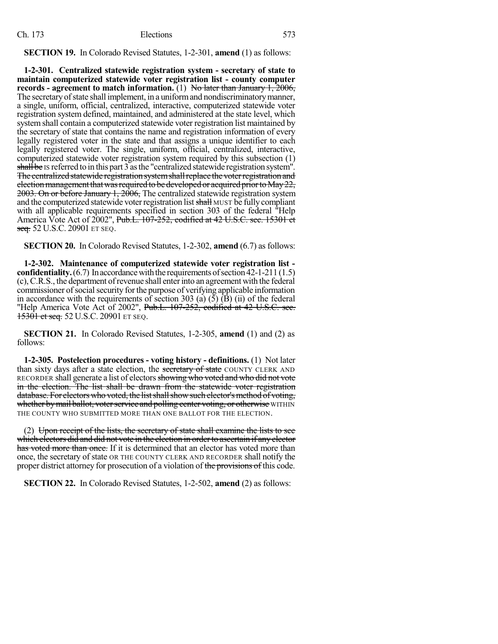**SECTION 19.** In Colorado Revised Statutes, 1-2-301, **amend** (1) as follows:

**1-2-301. Centralized statewide registration system - secretary of state to maintain computerized statewide voter registration list - county computer records - agreement to match information.** (1) No later than January 1, 2006, The secretary of state shall implement, in a uniform and nondiscriminatory manner, a single, uniform, official, centralized, interactive, computerized statewide voter registration system defined, maintained, and administered at the state level, which system shall contain a computerized statewide voter registration list maintained by the secretary of state that contains the name and registration information of every legally registered voter in the state and that assigns a unique identifier to each legally registered voter. The single, uniform, official, centralized, interactive, computerized statewide voter registration system required by this subsection (1) shall be IS referred to in this part 3 asthe "centralized statewide registration system". The centralized statewide registration system shall replace the voter registration and election management that was required to be developed or acquired prior to May 22, 2003. On or before January 1, 2006, The centralized statewide registration system and the computerized statewide voter registration list shall MUST be fully compliant with all applicable requirements specified in section 303 of the federal "Help America Vote Act of 2002", Pub.L. 107-252, codified at 42 U.S.C. sec. 15301 et seq. 52 U.S.C. 20901 ET SEQ.

**SECTION 20.** In Colorado Revised Statutes, 1-2-302, **amend** (6.7) as follows:

**1-2-302. Maintenance of computerized statewide voter registration list confidentiality.** (6.7) In accordance with the requirements of section  $42-1-211(1.5)$ (c),C.R.S., the department ofrevenue shall enterinto an agreement with the federal commissioner of social security for the purpose of verifying applicable information in accordance with the requirements of section 303 (a)  $(5)$  (B) (ii) of the federal "Help America Vote Act of 2002", Pub.L. 107-252, codified at 42 U.S.C. sec. **15301 et seq. 52 U.S.C. 20901 ET SEQ.** 

**SECTION 21.** In Colorado Revised Statutes, 1-2-305, **amend** (1) and (2) as follows:

**1-2-305. Postelection procedures - voting history - definitions.** (1) Not later than sixty days after a state election, the secretary of state COUNTY CLERK AND RECORDER shall generate a list of electors showing who voted and who did not vote in the election. The list shall be drawn from the statewide voter registration database. For electors who voted, the list shall show such elector's method of voting, whether by mail ballot, voter service and polling center voting, or otherwise WITHIN THE COUNTY WHO SUBMITTED MORE THAN ONE BALLOT FOR THE ELECTION.

 $(2)$  Upon receipt of the lists, the secretary of state shall examine the lists to see which electors did and did not vote in the election in order to ascertain if any elector has voted more than once. If it is determined that an elector has voted more than once, the secretary of state OR THE COUNTY CLERK AND RECORDER shall notify the proper district attorney for prosecution of a violation of the provisions of this code.

**SECTION 22.** In Colorado Revised Statutes, 1-2-502, **amend** (2) as follows: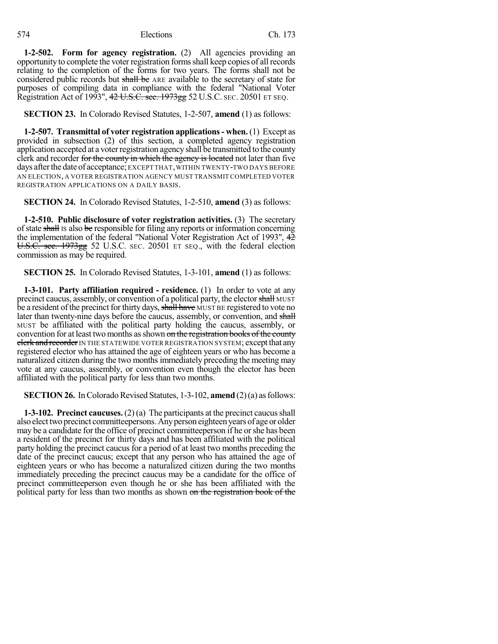**1-2-502. Form for agency registration.** (2) All agencies providing an opportunity to complete the voter registration formsshall keep copies of all records relating to the completion of the forms for two years. The forms shall not be considered public records but shall be ARE available to the secretary of state for purposes of compiling data in compliance with the federal "National Voter Registration Act of 1993", 42 U.S.C. sec. 1973gg 52 U.S.C. SEC. 20501 ET SEQ.

**SECTION 23.** In Colorado Revised Statutes, 1-2-507, **amend** (1) as follows:

**1-2-507. Transmittal of voter registration applications- when.** (1) Except as provided in subsection (2) of this section, a completed agency registration application accepted at a voterregistration agency shall be transmitted to the county clerk and recorder for the county in which the agency is located not later than five days afterthe date of acceptance; EXCEPT THAT,WITHIN TWENTY-TWO DAYS BEFORE AN ELECTION, A VOTER REGISTRATION AGENCY MUST TRANSMIT COMPLETED VOTER REGISTRATION APPLICATIONS ON A DAILY BASIS.

**SECTION 24.** In Colorado Revised Statutes, 1-2-510, **amend** (3) as follows:

**1-2-510. Public disclosure of voter registration activities.** (3) The secretary of state shall Is also be responsible for filing any reports or information concerning the implementation of the federal "National Voter Registration Act of 1993",  $4\overline{2}$ U.S.C. sec. 1973gg 52 U.S.C. SEC. 20501 ET SEQ., with the federal election commission as may be required.

**SECTION 25.** In Colorado Revised Statutes, 1-3-101, **amend** (1) as follows:

**1-3-101. Party affiliation required - residence.** (1) In order to vote at any precinct caucus, assembly, or convention of a political party, the elector shall MUST be a resident of the precinct for thirty days, shall have MUST BE registered to vote no later than twenty-nine days before the caucus, assembly, or convention, and shall MUST be affiliated with the political party holding the caucus, assembly, or convention for at least two months as shown on the registration books of the county clerk and recorder IN THE STATEWIDE VOTER REGISTRATION SYSTEM; except that any registered elector who has attained the age of eighteen years or who has become a naturalized citizen during the two monthsimmediately preceding the meeting may vote at any caucus, assembly, or convention even though the elector has been affiliated with the political party for less than two months.

**SECTION 26.** In Colorado Revised Statutes, 1-3-102, **amend** (2)(a) as follows:

**1-3-102. Precinct caucuses.** (2) (a) The participants at the precinct caucusshall also elect two precinct committeepersons. Any person eighteen years of age or older may be a candidate for the office of precinct committeeperson if he orshe has been a resident of the precinct for thirty days and has been affiliated with the political party holding the precinct caucus for a period of at least two months preceding the date of the precinct caucus; except that any person who has attained the age of eighteen years or who has become a naturalized citizen during the two months immediately preceding the precinct caucus may be a candidate for the office of precinct committeeperson even though he or she has been affiliated with the political party for less than two months as shown on the registration book of the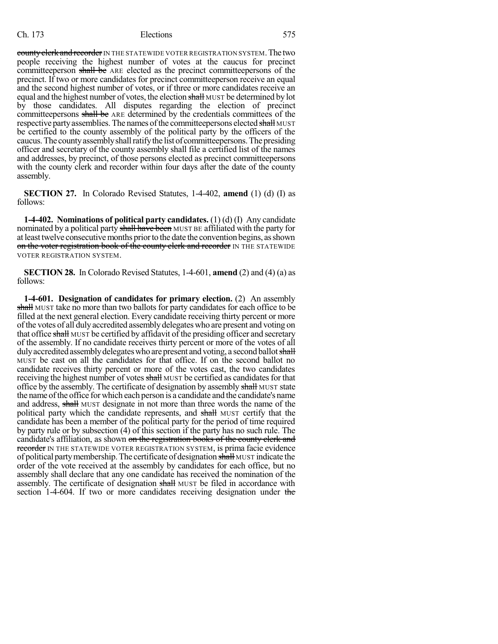county clerk and recorder IN THE STATEWIDE VOTER REGISTRATION SYSTEM. The two people receiving the highest number of votes at the caucus for precinct committeeperson shall be ARE elected as the precinct committeepersons of the precinct. If two or more candidates for precinct committeeperson receive an equal and the second highest number of votes, or if three or more candidates receive an equal and the highest number of votes, the election shall MUST be determined by lot by those candidates. All disputes regarding the election of precinct committeepersons shall be ARE determined by the credentials committees of the respective party assemblies. The names of the committeepersons elected shall MUST be certified to the county assembly of the political party by the officers of the caucus. The county assembly shall ratify the list of committeepersons. The presiding officer and secretary of the county assembly shall file a certified list of the names and addresses, by precinct, of those persons elected as precinct committeepersons with the county clerk and recorder within four days after the date of the county assembly.

**SECTION 27.** In Colorado Revised Statutes, 1-4-402, **amend** (1) (d) (I) as follows:

**1-4-402. Nominations of political party candidates.** (1) (d) (I) Any candidate nominated by a political party shall have been MUST BE affiliated with the party for at least twelve consecutive months prior to the date the convention begins, as shown on the voter registration book of the county clerk and recorder IN THE STATEWIDE VOTER REGISTRATION SYSTEM.

**SECTION 28.** In Colorado Revised Statutes, 1-4-601, **amend** (2) and (4) (a) as follows:

**1-4-601. Designation of candidates for primary election.** (2) An assembly shall MUST take no more than two ballots for party candidates for each office to be filled at the next general election. Every candidate receiving thirty percent or more of the votes of all duly accredited assembly delegates who are present and voting on that office shall MUST be certified by affidavit of the presiding officer and secretary of the assembly. If no candidate receives thirty percent or more of the votes of all duly accredited assembly delegates who are present and voting, a second ballot shall MUST be cast on all the candidates for that office. If on the second ballot no candidate receives thirty percent or more of the votes cast, the two candidates receiving the highest number of votes shall MUST be certified as candidates for that office by the assembly. The certificate of designation by assembly shall MUST state the name ofthe office for which each person is a candidate and the candidate's name and address, shall MUST designate in not more than three words the name of the political party which the candidate represents, and shall MUST certify that the candidate has been a member of the political party for the period of time required by party rule or by subsection (4) of this section if the party has no such rule. The candidate's affiliation, as shown on the registration books of the county clerk and recorder IN THE STATEWIDE VOTER REGISTRATION SYSTEM, is prima facie evidence of political partymembership.The certificate of designation shall MUST indicate the order of the vote received at the assembly by candidates for each office, but no assembly shall declare that any one candidate has received the nomination of the assembly. The certificate of designation shall MUST be filed in accordance with section 1-4-604. If two or more candidates receiving designation under the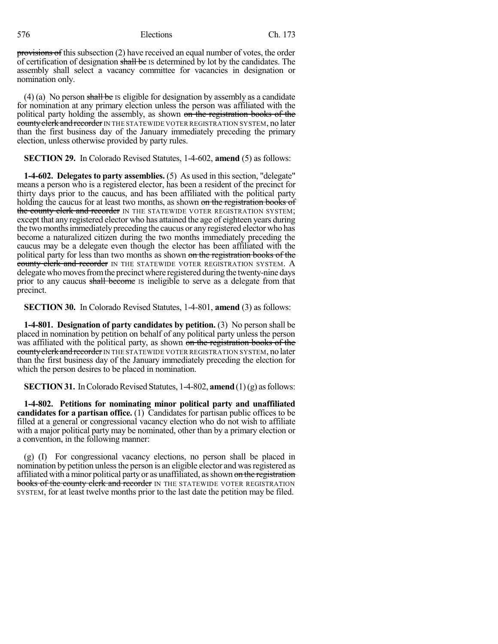provisions of this subsection (2) have received an equal number of votes, the order of certification of designation shall be IS determined by lot by the candidates. The assembly shall select a vacancy committee for vacancies in designation or nomination only.

(4) (a) No person shall be is eligible for designation by assembly as a candidate for nomination at any primary election unless the person was affiliated with the political party holding the assembly, as shown on the registration books of the eounty elerk and recorder IN THE STATEWIDE VOTER REGISTRATION SYSTEM, no later than the first business day of the January immediately preceding the primary election, unless otherwise provided by party rules.

#### **SECTION 29.** In Colorado Revised Statutes, 1-4-602, **amend** (5) as follows:

**1-4-602. Delegates to party assemblies.** (5) As used in thissection, "delegate" means a person who is a registered elector, has been a resident of the precinct for thirty days prior to the caucus, and has been affiliated with the political party holding the caucus for at least two months, as shown on the registration books of the county clerk and recorder IN THE STATEWIDE VOTER REGISTRATION SYSTEM; except that any registered elector who has attained the age of eighteen years during the two months immediately preceding the caucus or any registered elector who has become a naturalized citizen during the two months immediately preceding the caucus may be a delegate even though the elector has been affiliated with the political party for less than two months as shown on the registration books of the county clerk and recorder IN THE STATEWIDE VOTER REGISTRATION SYSTEM. A delegate who moves from the precinct where registered during the twenty-nine days prior to any caucus shall become is ineligible to serve as a delegate from that precinct.

**SECTION 30.** In Colorado Revised Statutes, 1-4-801, **amend** (3) as follows:

**1-4-801. Designation of party candidates by petition.** (3) No person shall be placed in nomination by petition on behalf of any political party unless the person was affiliated with the political party, as shown on the registration books of the county clerk and recorder IN THE STATEWIDE VOTER REGISTRATION SYSTEM, no later than the first business day of the January immediately preceding the election for which the person desires to be placed in nomination.

## **SECTION 31.** In Colorado Revised Statutes, 1-4-802, **amend** (1)(g) as follows:

**1-4-802. Petitions for nominating minor political party and unaffiliated candidates for a partisan office.** (1) Candidates for partisan public offices to be filled at a general or congressional vacancy election who do not wish to affiliate with a major political party may be nominated, other than by a primary election or a convention, in the following manner:

(g) (I) For congressional vacancy elections, no person shall be placed in nomination by petition unless the person is an eligible elector and was registered as affiliated with a minor political party or as unaffiliated, as shown on the registration books of the county clerk and recorder IN THE STATEWIDE VOTER REGISTRATION SYSTEM, for at least twelve months prior to the last date the petition may be filed.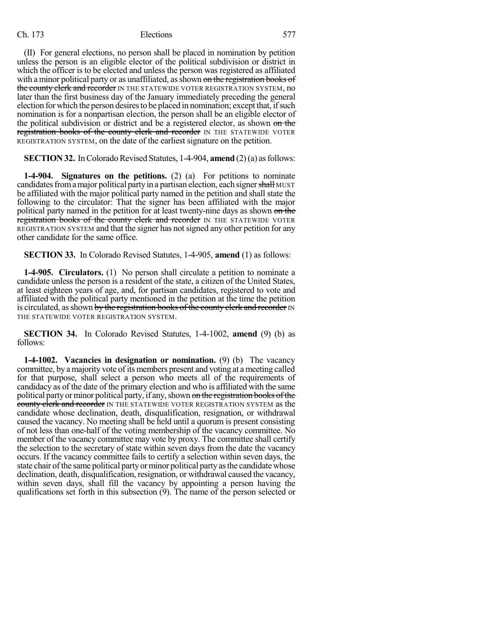(II) For general elections, no person shall be placed in nomination by petition unless the person is an eligible elector of the political subdivision or district in which the officer is to be elected and unless the person was registered as affiliated with a minor political party or as unaffiliated, as shown on the registration books of the county clerk and recorder IN THE STATEWIDE VOTER REGISTRATION SYSTEM, no later than the first business day of the January immediately preceding the general election for which the person desires to be placed in nomination; except that, if such nomination is for a nonpartisan election, the person shall be an eligible elector of the political subdivision or district and be a registered elector, as shown on the registration books of the county clerk and recorder IN THE STATEWIDE VOTER REGISTRATION SYSTEM, on the date of the earliest signature on the petition.

**SECTION 32.** In Colorado Revised Statutes, 1-4-904, **amend** (2)(a) as follows:

**1-4-904. Signatures on the petitions.** (2) (a) For petitions to nominate candidates from a major political party in a partisan election, each signer shall MUST be affiliated with the major political party named in the petition and shall state the following to the circulator: That the signer has been affiliated with the major political party named in the petition for at least twenty-nine days as shown on the registration books of the county clerk and recorder IN THE STATEWIDE VOTER REGISTRATION SYSTEM and that the signer has notsigned any other petition for any other candidate for the same office.

**SECTION 33.** In Colorado Revised Statutes, 1-4-905, **amend** (1) as follows:

**1-4-905. Circulators.** (1) No person shall circulate a petition to nominate a candidate unless the person is a resident of the state, a citizen of the United States, at least eighteen years of age, and, for partisan candidates, registered to vote and affiliated with the political party mentioned in the petition at the time the petition is circulated, as shown by the registration books of the county clerk and recorder IN THE STATEWIDE VOTER REGISTRATION SYSTEM.

**SECTION 34.** In Colorado Revised Statutes, 1-4-1002, **amend** (9) (b) as follows:

**1-4-1002. Vacancies in designation or nomination.** (9) (b) The vacancy committee, by amajority vote ofits members present and voting at a meeting called for that purpose, shall select a person who meets all of the requirements of candidacy as of the date of the primary election and who is affiliated with the same political party or minor political party, if any, shown on the registration books of the county clerk and recorder IN THE STATEWIDE VOTER REGISTRATION SYSTEM as the candidate whose declination, death, disqualification, resignation, or withdrawal caused the vacancy. No meeting shall be held until a quorum is present consisting of not less than one-half of the voting membership of the vacancy committee. No member of the vacancy committee may vote by proxy. The committee shall certify the selection to the secretary of state within seven days from the date the vacancy occurs. If the vacancy committee fails to certify a selection within seven days, the state chair of the same political party or minor political party as the candidate whose declination, death, disqualification, resignation, or withdrawal caused the vacancy, within seven days, shall fill the vacancy by appointing a person having the qualifications set forth in this subsection (9). The name of the person selected or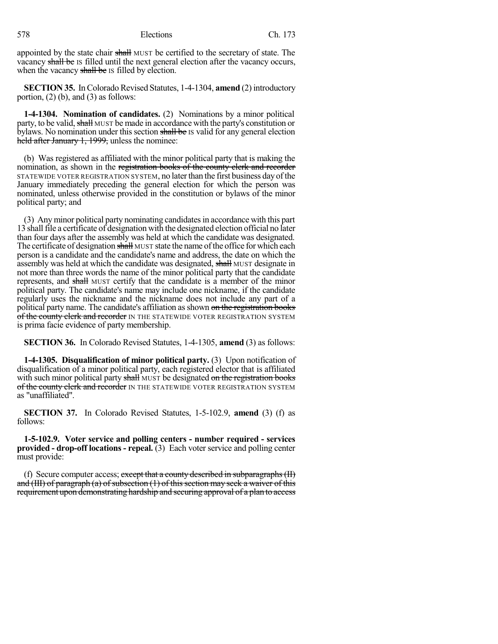appointed by the state chair shall MUST be certified to the secretary of state. The vacancy shall be IS filled until the next general election after the vacancy occurs, when the vacancy shall be IS filled by election.

**SECTION 35.** In Colorado Revised Statutes, 1-4-1304, **amend** (2) introductory portion,  $(2)$  (b), and  $(3)$  as follows:

**1-4-1304. Nomination of candidates.** (2) Nominations by a minor political party, to be valid, shall MUST be made in accordance with the party's constitution or bylaws. No nomination under this section shall be IS valid for any general election held after January 1, 1999, unless the nominee:

(b) Was registered as affiliated with the minor political party that is making the nomination, as shown in the registration books of the county clerk and recorder STATEWIDE VOTER REGISTRATION SYSTEM, no laterthan the first business day ofthe January immediately preceding the general election for which the person was nominated, unless otherwise provided in the constitution or bylaws of the minor political party; and

(3) Any minor political party nominating candidatesin accordance with this part 13 shall file a certificate of designation with the designated election official no later than four days after the assembly was held at which the candidate was designated. The certificate of designation shall MUST state the name of the office for which each person is a candidate and the candidate's name and address, the date on which the assembly was held at which the candidate was designated, shall MUST designate in not more than three words the name of the minor political party that the candidate represents, and shall MUST certify that the candidate is a member of the minor political party. The candidate's name may include one nickname, if the candidate regularly uses the nickname and the nickname does not include any part of a political party name. The candidate's affiliation as shown on the registration books of the county clerk and recorder IN THE STATEWIDE VOTER REGISTRATION SYSTEM is prima facie evidence of party membership.

**SECTION 36.** In Colorado Revised Statutes, 1-4-1305, **amend** (3) as follows:

**1-4-1305. Disqualification of minor political party.** (3) Upon notification of disqualification of a minor political party, each registered elector that is affiliated with such minor political party shall MUST be designated on the registration books of the county clerk and recorder IN THE STATEWIDE VOTER REGISTRATION SYSTEM as "unaffiliated".

**SECTION 37.** In Colorado Revised Statutes, 1-5-102.9, **amend** (3) (f) as follows:

**1-5-102.9. Voter service and polling centers - number required - services provided - drop-off locations - repeal.** (3) Each voter service and polling center must provide:

(f) Secure computer access; except that a county described in subparagraphs  $(H)$ and (III) of paragraph (a) of subsection  $(1)$  of this section may seek a waiver of this requirement upon demonstrating hardship and securing approval of a plan to access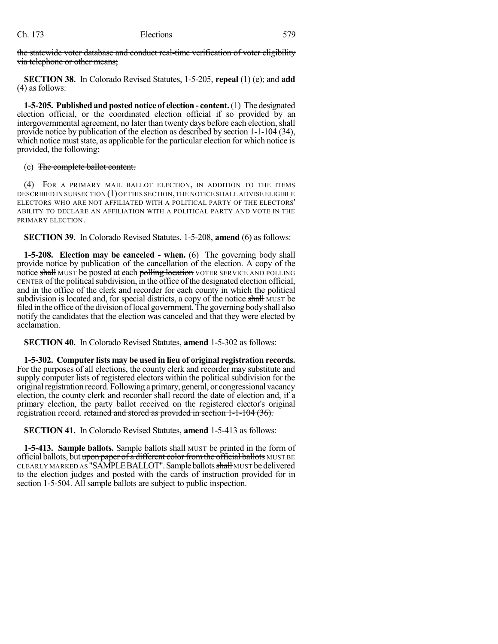the statewide voter database and conduct real-time verification of voter eligibility via telephone or other means;

**SECTION 38.** In Colorado Revised Statutes, 1-5-205, **repeal** (1) (e); and **add** (4) as follows:

**1-5-205. Publishedand posted notice of election - content.**(1) The designated election official, or the coordinated election official if so provided by an intergovernmental agreement, no later than twenty days before each election, shall provide notice by publication of the election as described by section 1-1-104 (34), which notice must state, as applicable for the particular election for which notice is provided, the following:

#### (e) The complete ballot content.

(4) FOR A PRIMARY MAIL BALLOT ELECTION, IN ADDITION TO THE ITEMS DESCRIBED IN SUBSECTION (1)OF THIS SECTION,THE NOTICE SHALL ADVISE ELIGIBLE ELECTORS WHO ARE NOT AFFILIATED WITH A POLITICAL PARTY OF THE ELECTORS' ABILITY TO DECLARE AN AFFILIATION WITH A POLITICAL PARTY AND VOTE IN THE PRIMARY ELECTION.

**SECTION 39.** In Colorado Revised Statutes, 1-5-208, **amend** (6) as follows:

**1-5-208. Election may be canceled - when.** (6) The governing body shall provide notice by publication of the cancellation of the election. A copy of the notice shall MUST be posted at each polling location VOTER SERVICE AND POLLING CENTER of the political subdivision, in the office of the designated election official, and in the office of the clerk and recorder for each county in which the political subdivision is located and, for special districts, a copy of the notice shall MUST be filed in the office of the division of local government. The governing body shall also notify the candidates that the election was canceled and that they were elected by acclamation.

**SECTION 40.** In Colorado Revised Statutes, **amend** 1-5-302 as follows:

**1-5-302. Computer lists may be used in lieu of original registration records.** For the purposes of all elections, the county clerk and recorder may substitute and supply computer lists of registered electors within the political subdivision for the original registration record. Following a primary, general, or congressional vacancy election, the county clerk and recorder shall record the date of election and, if a primary election, the party ballot received on the registered elector's original registration record. retained and stored as provided in section 1-1-104 (36).

**SECTION 41.** In Colorado Revised Statutes, **amend** 1-5-413 as follows:

**1-5-413. Sample ballots.** Sample ballots shall MUST be printed in the form of official ballots, but upon paper of a different color from the official ballots MUST BE CLEARLY MARKED AS "SAMPLEBALLOT". Sample ballots shall MUST be delivered to the election judges and posted with the cards of instruction provided for in section 1-5-504. All sample ballots are subject to public inspection.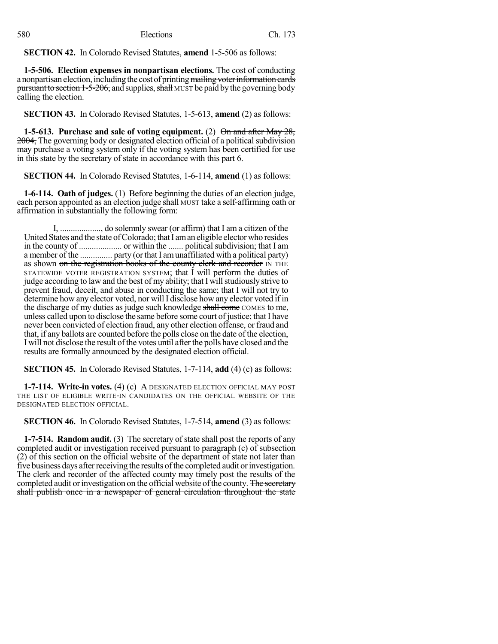**SECTION 42.** In Colorado Revised Statutes, **amend** 1-5-506 as follows:

**1-5-506. Election expenses in nonpartisan elections.** The cost of conducting a nonpartisan election, including the cost of printing mailing voter information cards pursuant to section 1-5-206, and supplies, shall MUST be paid by the governing body calling the election.

**SECTION 43.** In Colorado Revised Statutes, 1-5-613, **amend** (2) as follows:

**1-5-613. Purchase and sale of voting equipment.** (2) On and after May 28, 2004, The governing body or designated election official of a political subdivision may purchase a voting system only if the voting system has been certified for use in this state by the secretary of state in accordance with this part 6.

**SECTION 44.** In Colorado Revised Statutes, 1-6-114, **amend** (1) as follows:

**1-6-114. Oath of judges.** (1) Before beginning the duties of an election judge, each person appointed as an election judge shall MUST take a self-affirming oath or affirmation in substantially the following form:

I, ..................., do solemnly swear (or affirm) that I am a citizen of the United States and the state of Colorado; that I am an eligible elector who resides in the county of .................... or within the ....... politicalsubdivision; that I am a member of the ............... party (orthat I amunaffiliated with a political party) as shown on the registration books of the county clerk and recorder IN THE STATEWIDE VOTER REGISTRATION SYSTEM; that I will perform the duties of judge according to law and the best of my ability; that I will studiously strive to prevent fraud, deceit, and abuse in conducting the same; that I will not try to determine how any elector voted, nor will I disclose how any elector voted if in the discharge of my duties as judge such knowledge shall come COMES to me, unless called upon to disclose the same before some court of justice; that I have never been convicted of election fraud, any other election offense, or fraud and that, if any ballots are counted before the polls close on the date of the election, I will not disclose the result of the votes until afterthe polls have closed and the results are formally announced by the designated election official.

**SECTION 45.** In Colorado Revised Statutes, 1-7-114, **add** (4) (c) as follows:

**1-7-114. Write-in votes.** (4) (c) A DESIGNATED ELECTION OFFICIAL MAY POST THE LIST OF ELIGIBLE WRITE-IN CANDIDATES ON THE OFFICIAL WEBSITE OF THE DESIGNATED ELECTION OFFICIAL.

**SECTION 46.** In Colorado Revised Statutes, 1-7-514, **amend** (3) as follows:

**1-7-514. Random audit.** (3) The secretary of state shall post the reports of any completed audit or investigation received pursuant to paragraph (c) of subsection (2) of this section on the official website of the department of state not later than five business days after receiving the results of the completed audit or investigation. The clerk and recorder of the affected county may timely post the results of the completed audit or investigation on the official website of the county. The secretary shall publish once in a newspaper of general circulation throughout the state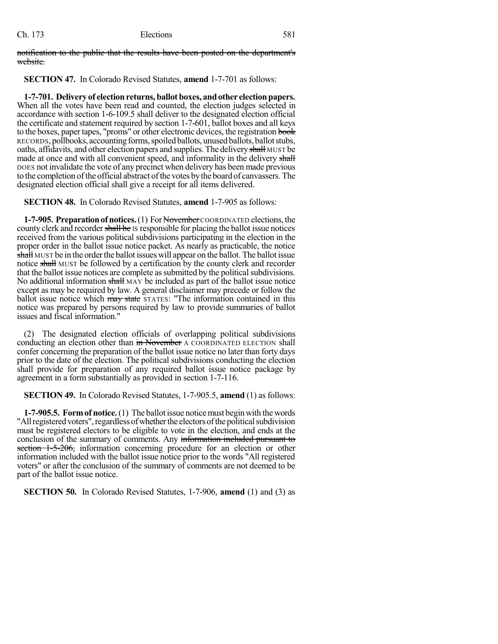notification to the public that the results have been posted on the department's website.

**SECTION 47.** In Colorado Revised Statutes, **amend** 1-7-701 as follows:

**1-7-701. Delivery of electionreturns, ballot boxes, andother electionpapers.** When all the votes have been read and counted, the election judges selected in accordance with section 1-6-109.5 shall deliver to the designated election official the certificate and statement required by section 1-7-601, ballot boxes and all keys to the boxes, paper tapes, "proms" or other electronic devices, the registration book RECORDS, pollbooks, accountingforms,spoiledballots, unused ballots, ballotstubs, oaths, affidavits, and other election papers and supplies. The delivery shall MUST be made at once and with all convenient speed, and informality in the delivery shall DOES not invalidate the vote of any precinct when delivery has been made previous to the completion of the official abstract of the votes by the board of canvassers. The designated election official shall give a receipt for all items delivered.

**SECTION 48.** In Colorado Revised Statutes, **amend** 1-7-905 as follows:

**1-7-905. Preparation of notices.** (1) For November COORDINATED elections, the county clerk and recorder shall be IS responsible for placing the ballot issue notices received from the various political subdivisions participating in the election in the proper order in the ballot issue notice packet. As nearly as practicable, the notice shall MUST be in the order the ballot issues will appear on the ballot. The ballot issue notice shall MUST be followed by a certification by the county clerk and recorder that the ballot issue notices are complete as submitted by the political subdivisions. No additional information shall  $MAY$  be included as part of the ballot issue notice except as may be required by law. A general disclaimer may precede or follow the ballot issue notice which may state STATES: "The information contained in this notice was prepared by persons required by law to provide summaries of ballot issues and fiscal information."

(2) The designated election officials of overlapping political subdivisions conducting an election other than in November A COORDINATED ELECTION shall confer concerning the preparation of the ballot issue notice no later than forty days prior to the date of the election. The political subdivisions conducting the election shall provide for preparation of any required ballot issue notice package by agreement in a form substantially as provided in section 1-7-116.

**SECTION 49.** In Colorado Revised Statutes, 1-7-905.5, **amend** (1) as follows:

**1-7-905.5. Formof notice.**(1) The ballot issue noticemust beginwith the words "All registered voters", regardless of whether the electors of the political subdivision must be registered electors to be eligible to vote in the election, and ends at the conclusion of the summary of comments. Any information included pursuant to section 1-5-206, information concerning procedure for an election or other information included with the ballot issue notice prior to the words "All registered voters" or after the conclusion of the summary of comments are not deemed to be part of the ballot issue notice.

**SECTION 50.** In Colorado Revised Statutes, 1-7-906, **amend** (1) and (3) as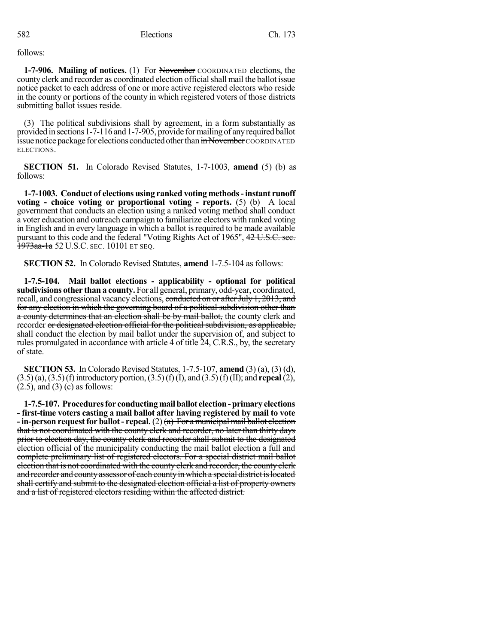follows:

**1-7-906. Mailing of notices.** (1) For November COORDINATED elections, the county clerk and recorder as coordinated election official shall mail the ballot issue notice packet to each address of one or more active registered electors who reside in the county or portions of the county in which registered voters of those districts submitting ballot issues reside.

(3) The political subdivisions shall by agreement, in a form substantially as provided in sections1-7-116 and 1-7-905, provide formailing of anyrequired ballot issue notice package for elections conducted other than  $\frac{1}{m}$ November COORDINATED ELECTIONS.

**SECTION 51.** In Colorado Revised Statutes, 1-7-1003, **amend** (5) (b) as follows:

**1-7-1003. Conduct of elections using ranked voting methods-instant runoff voting - choice voting or proportional voting - reports.** (5) (b) A local government that conducts an election using a ranked voting method shall conduct a voter education and outreach campaign to familiarize electors with ranked voting in English and in every language in which a ballot is required to be made available pursuant to this code and the federal "Voting Rights Act of 1965", 42 U.S.C. sec. 1973aa-1a 52 U.S.C. SEC. 10101 ET SEQ.

**SECTION 52.** In Colorado Revised Statutes, **amend** 1-7.5-104 as follows:

**1-7.5-104. Mail ballot elections - applicability - optional for political subdivisions other than a county.** For all general, primary, odd-year, coordinated, recall, and congressional vacancy elections, conducted on or after July 1, 2013, and for any election in which the governing board of a political subdivision other than a county determines that an election shall be by mail ballot, the county clerk and recorder or designated election official for the political subdivision, as applicable, shall conduct the election by mail ballot under the supervision of, and subject to rules promulgated in accordance with article 4 of title 24, C.R.S., by, the secretary of state.

**SECTION 53.** In Colorado Revised Statutes, 1-7.5-107, **amend** (3) (a), (3) (d), (3.5)(a),(3.5)(f)introductory portion,(3.5)(f)(I), and (3.5)(f)(II); and **repeal**(2),  $(2.5)$ , and  $(3)$  (c) as follows:

**1-7.5-107. Proceduresfor conductingmailballot election-primary elections - first-time voters casting a mail ballot after having registered by mail to vote - in-person request for ballot - repeal.** (2)  $(a)$  For a municipal mail ballot election that is not coordinated with the county clerk and recorder, no later than thirty days prior to election day, the county clerk and recorder shall submit to the designated election official of the municipality conducting the mail ballot election a full and complete preliminary list of registered electors. For a special district mail ballot election that is not coordinated with the county clerk and recorder, the county clerk and recorder and county assessor of each county in which a special district is located shall certify and submit to the designated election official a list of property owners and a list of registered electors residing within the affected district.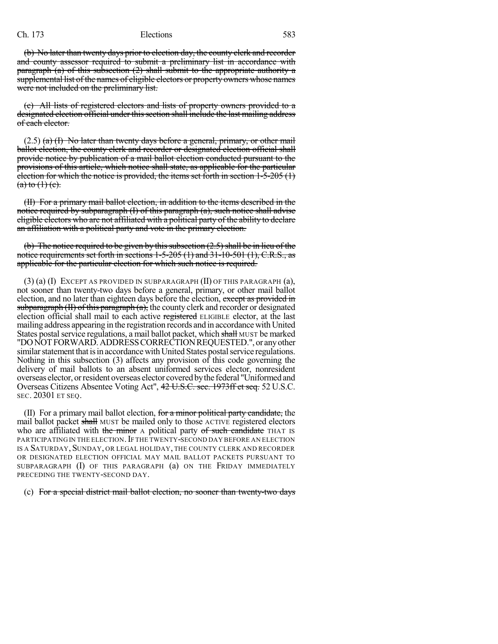(b) No later than twenty days prior to election day, the county clerk and recorder and county assessor required to submit a preliminary list in accordance with paragraph (a) of this subsection  $(2)$  shall submit to the appropriate authority a supplemental list of the names of eligible electors or property owners whose names were not included on the preliminary list.

(c) All lists of registered electors and lists of property owners provided to a designated election official under this section shall include the last mailing address of each elector.

 $(2.5)$  (a) (I) No later than twenty days before a general, primary, or other mail ballot election, the county clerk and recorder or designated election official shall provide notice by publication of a mail ballot election conducted pursuant to the provisions of this article, which notice shall state, as applicable for the particular election for which the notice is provided, the items set forth in section 1-5-205 (1)  $(a)$  to  $(1)$  (c).

(II) For a primary mail ballot election, in addition to the items described in the notice required by subparagraph (I) of this paragraph (a), such notice shall advise eligible electors who are not affiliated with a political party of the ability to declare an affiliation with a political party and vote in the primary election.

(b) The notice required to be given by this subsection  $(2.5)$  shall be in lieu of the notice requirements set forth in sections  $1-5-205(1)$  and  $31-10-501(1)$ , C.R.S., as applicable for the particular election for which such notice is required.

(3) (a) (I) EXCEPT AS PROVIDED IN SUBPARAGRAPH (II) OF THIS PARAGRAPH (a), not sooner than twenty-two days before a general, primary, or other mail ballot election, and no later than eighteen days before the election, except as provided in subparagraph  $(H)$  of this paragraph  $(a)$ , the county clerk and recorder or designated election official shall mail to each active registered ELIGIBLE elector, at the last mailing address appearing in the registration records and in accordance with United States postal service regulations, a mail ballot packet, which shall MUST be marked "DONOTFORWARD.ADDRESSCORRECTIONREQUESTED.", or anyother similar statement that is in accordance with United States postal service regulations. Nothing in this subsection (3) affects any provision of this code governing the delivery of mail ballots to an absent uniformed services elector, nonresident overseas elector, orresident overseas elector coveredbythe federal "Uniformedand Overseas Citizens Absentee Voting Act", 42 U.S.C. sec. 1973ff et seq. 52 U.S.C. SEC. 20301 ET SEQ.

(II) For a primary mail ballot election, for a minor political party candidate, the mail ballot packet shall MUST be mailed only to those ACTIVE registered electors who are affiliated with the minor  $\Delta$  political party of such candidate THAT IS PARTICIPATING IN THE ELECTION. IF THE TWENTY-SECOND DAY BEFORE AN ELECTION IS A SATURDAY, SUNDAY, OR LEGAL HOLIDAY, THE COUNTY CLERK AND RECORDER OR DESIGNATED ELECTION OFFICIAL MAY MAIL BALLOT PACKETS PURSUANT TO SUBPARAGRAPH (I) OF THIS PARAGRAPH (a) ON THE FRIDAY IMMEDIATELY PRECEDING THE TWENTY-SECOND DAY.

#### (c) For a special district mail ballot election, no sooner than twenty-two days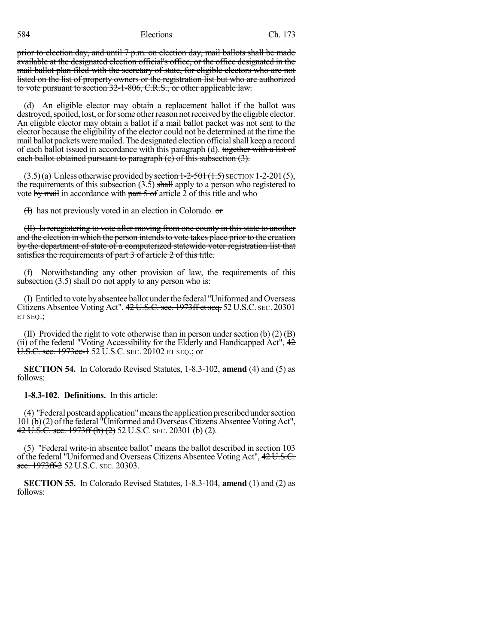prior to election day, and until 7 p.m. on election day, mail ballots shall be made available at the designated election official's office, or the office designated in the mail ballot plan filed with the secretary of state, for eligible electors who are not listed on the list of property owners or the registration list but who are authorized to vote pursuant to section 32-1-806, C.R.S., or other applicable law.

(d) An eligible elector may obtain a replacement ballot if the ballot was destroyed, spoiled, lost, or for some other reason not received by the eligible elector. An eligible elector may obtain a ballot if a mail ballot packet was not sent to the elector because the eligibility of the elector could not be determined at the time the mail ballot packets were mailed. The designated election official shall keep a record of each ballot issued in accordance with this paragraph (d). together with a list of each ballot obtained pursuant to paragraph  $(e)$  of this subsection  $(3)$ .

 $(3.5)(a)$  Unless otherwise provided by section 1-2-501 (1.5) SECTION 1-2-201(5), the requirements of this subsection  $(3.5)$  shall apply to a person who registered to vote by mail in accordance with part  $5 \text{ of } x$  article  $2$  of this title and who

 $(H)$  has not previously voted in an election in Colorado.  $\sigma$ 

(II) Is reregistering to vote after moving from one county in this state to another and the election in which the person intends to vote takes place prior to the creation by the department of state of a computerized statewide voter registration list that satisfies the requirements of part 3 of article 2 of this title.

(f) Notwithstanding any other provision of law, the requirements of this subsection  $(3.5)$  shall DO not apply to any person who is:

(I) Entitled to vote byabsentee ballot underthe federal "Uniformed and Overseas Citizens Absentee Voting Act", 42 U.S.C.sec. 1973ff etseq. 52U.S.C. SEC. 20301 ET SEQ.;

(II) Provided the right to vote otherwise than in person under section (b) (2) (B) (ii) of the federal "Voting Accessibility for the Elderly and Handicapped Act",  $42$ U.S.C. sec. 1973ee-1 52 U.S.C. SEC. 20102 ET SEQ.; or

**SECTION 54.** In Colorado Revised Statutes, 1-8.3-102, **amend** (4) and (5) as follows:

**1-8.3-102. Definitions.** In this article:

(4) "Federal postcard application" means the application prescribed under section 101 (b)(2) of the federal "Uniformed and Overseas Citizens Absentee Voting Act", 42 U.S.C. sec. 1973ff (b) (2) 52 U.S.C. SEC. 20301 (b) (2).

(5) "Federal write-in absentee ballot" means the ballot described in section 103 of the federal "Uniformed and Overseas Citizens Absentee Voting Act", 42 U.S.C. see. 1973ff-2 52 U.S.C. SEC. 20303.

**SECTION 55.** In Colorado Revised Statutes, 1-8.3-104, **amend** (1) and (2) as follows: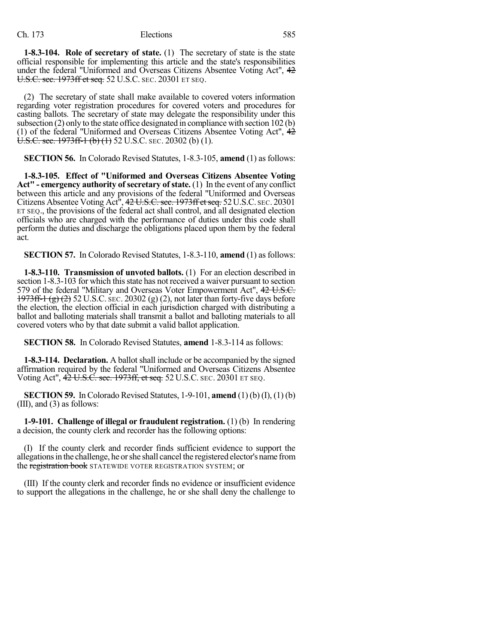**1-8.3-104. Role of secretary of state.** (1) The secretary of state is the state official responsible for implementing this article and the state's responsibilities under the federal "Uniformed and Overseas Citizens Absentee Voting Act", 42 U.S.C. sec. 1973ff et seq. 52 U.S.C. SEC. 20301 ET SEQ.

(2) The secretary of state shall make available to covered voters information regarding voter registration procedures for covered voters and procedures for casting ballots. The secretary of state may delegate the responsibility under this subsection (2) only to the state office designated in compliance with section 102 (b) (1) of the federal "Uniformed and Overseas Citizens Absentee Voting Act", 42  $\overline{U.S.C.}$  sec. 1973ff-1 (b) (1) 52 U.S.C. SEC. 20302 (b) (1).

**SECTION 56.** In Colorado Revised Statutes, 1-8.3-105, **amend** (1) as follows:

**1-8.3-105. Effect of "Uniformed and Overseas Citizens Absentee Voting** Act" **- emergency authority** of **secretary** of **state.** (1) In the event of any conflict between this article and any provisions of the federal "Uniformed and Overseas Citizens Absentee Voting Act<sup>1</sup>', 4<del>2 U.S.C. sec. 1973ff et seq.</del> 52 U.S.C. sec. 20301 ET SEQ., the provisions of the federal act shall control, and all designated election officials who are charged with the performance of duties under this code shall perform the duties and discharge the obligations placed upon them by the federal act.

**SECTION 57.** In Colorado Revised Statutes, 1-8.3-110, **amend** (1) as follows:

**1-8.3-110. Transmission of unvoted ballots.** (1) For an election described in section 1-8.3-103 for which this state has not received a waiver pursuant to section 579 of the federal "Military and Overseas Voter Empowerment Act", 42 U.S.C.  $1973ff-1(g)(2)$  52 U.S.C. sec. 20302 (g) (2), not later than forty-five days before the election, the election official in each jurisdiction charged with distributing a ballot and balloting materials shall transmit a ballot and balloting materials to all covered voters who by that date submit a valid ballot application.

**SECTION 58.** In Colorado Revised Statutes, **amend** 1-8.3-114 as follows:

**1-8.3-114. Declaration.** A ballot shall include or be accompanied by the signed affirmation required by the federal "Uniformed and Overseas Citizens Absentee Voting Act", 42 U.S.C. sec. 1973ff, et seq. 52 U.S.C. SEC. 20301 ET SEQ.

**SECTION 59.** In Colorado Revised Statutes, 1-9-101, **amend** (1) (b) (I), (1) (b) (III), and (3) as follows:

**1-9-101. Challenge of illegal or fraudulent registration.** (1) (b) In rendering a decision, the county clerk and recorder has the following options:

(I) If the county clerk and recorder finds sufficient evidence to support the allegationsin the challenge, he orshe shall cancel the registered elector's name from the registration book STATEWIDE VOTER REGISTRATION SYSTEM; or

(III) If the county clerk and recorder finds no evidence or insufficient evidence to support the allegations in the challenge, he or she shall deny the challenge to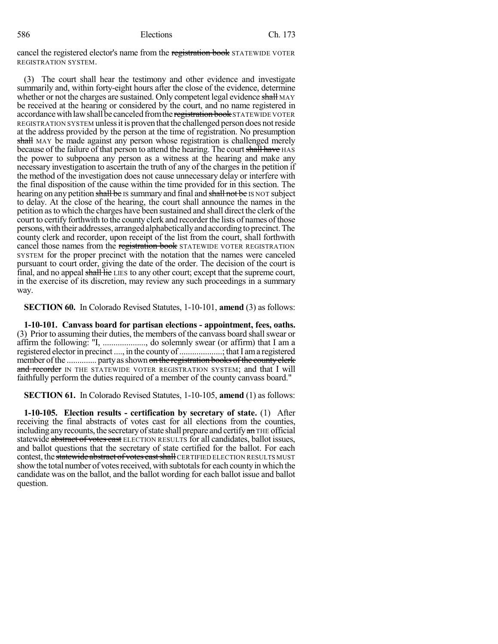cancel the registered elector's name from the registration book STATEWIDE VOTER REGISTRATION SYSTEM.

(3) The court shall hear the testimony and other evidence and investigate summarily and, within forty-eight hours after the close of the evidence, determine whether or not the charges are sustained. Only competent legal evidence shall MAY be received at the hearing or considered by the court, and no name registered in accordance with law shall be canceled from the registration book STATEWIDE VOTER REGISTRATION SYSTEM unlessitis proven that the challenged person does notreside at the address provided by the person at the time of registration. No presumption shall MAY be made against any person whose registration is challenged merely because of the failure of that person to attend the hearing. The court shall have HAS the power to subpoena any person as a witness at the hearing and make any necessary investigation to ascertain the truth of any of the charges in the petition if the method of the investigation does not cause unnecessary delay or interfere with the final disposition of the cause within the time provided for in this section. The hearing on any petition shall be IS summary and final and shall not be IS NOT subject to delay. At the close of the hearing, the court shall announce the names in the petition as to which the charges have been sustained and shall direct the clerk of the court to certify forthwith to the county clerk and recorder the lists of names of those persons, with their addresses, arranged alphabetically and according to precinct. The county clerk and recorder, upon receipt of the list from the court, shall forthwith cancel those names from the registration book STATEWIDE VOTER REGISTRATION SYSTEM for the proper precinct with the notation that the names were canceled pursuant to court order, giving the date of the order. The decision of the court is final, and no appeal shall lie LIES to any other court; except that the supreme court, in the exercise of its discretion, may review any such proceedings in a summary way.

**SECTION 60.** In Colorado Revised Statutes, 1-10-101, **amend** (3) as follows:

**1-10-101. Canvass board for partisan elections - appointment, fees, oaths.** (3) Prior to assuming their duties, the members of the canvass board shallswear or affirm the following: "I, ...................., do solemnly swear (or affirm) that I am a registered elector in precinct ...., in the county of ....................; that I am a registered member ofthe .............. partyasshown on the registration books ofthe countyclerk and recorder IN THE STATEWIDE VOTER REGISTRATION SYSTEM; and that I will faithfully perform the duties required of a member of the county canvass board."

**SECTION 61.** In Colorado Revised Statutes, 1-10-105, **amend** (1) as follows:

**1-10-105. Election results - certification by secretary of state.** (1) After receiving the final abstracts of votes cast for all elections from the counties, including any recounts, the secretary of state shall prepare and certify  $a\mathbf{n}$  THE official statewide abstract of votes cast ELECTION RESULTS for all candidates, ballot issues, and ballot questions that the secretary of state certified for the ballot. For each contest, the statewide abstract of votes cast shall CERTIFIED ELECTION RESULTS MUST show the total number of votes received, with subtotals for each county in which the candidate was on the ballot, and the ballot wording for each ballot issue and ballot question.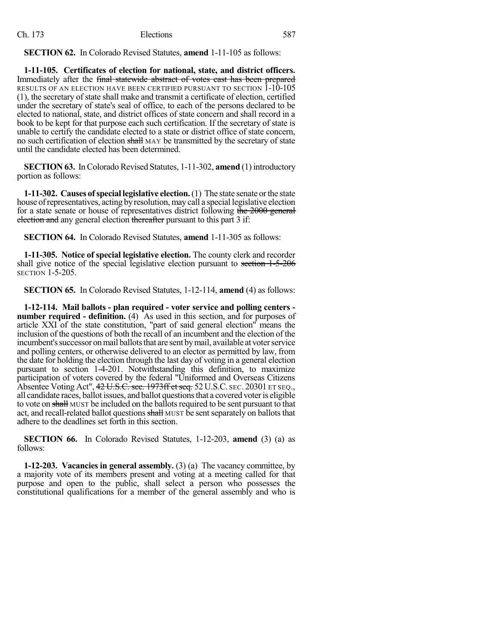**SECTION 62.** In Colorado Revised Statutes, **amend** 1-11-105 as follows:

**1-11-105. Certificates of election for national, state, and district officers.** Immediately after the final statewide abstract of votes east has been prepared RESULTS OF AN ELECTION HAVE BEEN CERTIFIED PURSUANT TO SECTION 1-10-105 (1), the secretary of state shall make and transmit a certificate of election, certified under the secretary of state's seal of office, to each of the persons declared to be elected to national, state, and district offices of state concern and shall record in a book to be kept for that purpose each such certification. If the secretary of state is unable to certify the candidate elected to a state or district office of state concern, no such certification of election shall MAY be transmitted by the secretary of state until the candidate elected has been determined.

**SECTION 63.** In Colorado Revised Statutes, 1-11-302, **amend** (1) introductory portion as follows:

**1-11-302. Causes ofspecial legislative election.**(1) The state senate orthe state house of representatives, acting by resolution, may call a special legislative election for a state senate or house of representatives district following the 2000 general election and any general election thereafter pursuant to this part 3 if:

**SECTION 64.** In Colorado Revised Statutes, **amend** 1-11-305 as follows:

**1-11-305. Notice of special legislative election.** The county clerk and recorder shall give notice of the special legislative election pursuant to section 1-5-206 SECTION 1-5-205.

**SECTION 65.** In Colorado Revised Statutes, 1-12-114, **amend** (4) as follows:

**1-12-114. Mail ballots - plan required - voter service and polling centers number required - definition.** (4) As used in this section, and for purposes of article XXI of the state constitution, "part of said general election" means the inclusion of the questions of both the recall of an incumbent and the election of the incumbent's successor on mail ballots that are sent by mail, available at voter service and polling centers, or otherwise delivered to an elector as permitted by law, from the date for holding the election through the last day of voting in a general election pursuant to section 1-4-201. Notwithstanding this definition, to maximize participation of voters covered by the federal "Uniformed and Overseas Citizens Absentee Voting Act", 42 U.S.C. sec. 1973ff et seq. 52 U.S.C. SEC. 20301 ET SEQ., all candidate races, ballot issues, and ballot questions that a covered voter is eligible to vote on shall MUST be included on the ballots required to be sent pursuant to that act, and recall-related ballot questions shall MUST be sent separately on ballots that adhere to the deadlines set forth in this section.

**SECTION 66.** In Colorado Revised Statutes, 1-12-203, **amend** (3) (a) as follows:

**1-12-203. Vacancies in general assembly.** (3) (a) The vacancy committee, by a majority vote of its members present and voting at a meeting called for that purpose and open to the public, shall select a person who possesses the constitutional qualifications for a member of the general assembly and who is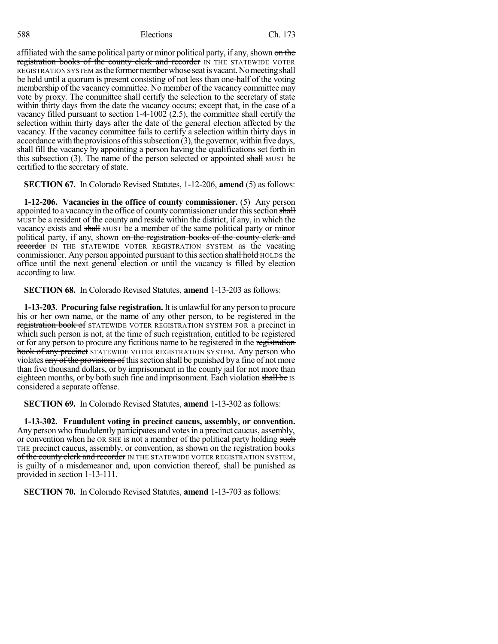affiliated with the same political party or minor political party, if any, shown on the registration books of the county clerk and recorder IN THE STATEWIDE VOTER REGISTRATION SYSTEM asthe formermemberwhose seatisvacant.Nomeetingshall be held until a quorum is present consisting of not less than one-half of the voting membership of the vacancy committee. No member of the vacancy committee may vote by proxy. The committee shall certify the selection to the secretary of state within thirty days from the date the vacancy occurs; except that, in the case of a vacancy filled pursuant to section 1-4-1002 (2.5), the committee shall certify the selection within thirty days after the date of the general election affected by the vacancy. If the vacancy committee fails to certify a selection within thirty days in accordance with the provisions of this subsection  $(3)$ , the governor, within five days, shall fill the vacancy by appointing a person having the qualifications set forth in this subsection  $(3)$ . The name of the person selected or appointed shall MUST be certified to the secretary of state.

**SECTION 67.** In Colorado Revised Statutes, 1-12-206, **amend** (5) as follows:

**1-12-206. Vacancies in the office of county commissioner.** (5) Any person appointed to a vacancy in the office of county commissioner under this section shall MUST be a resident of the county and reside within the district, if any, in which the vacancy exists and shall MUST be a member of the same political party or minor political party, if any, shown on the registration books of the county clerk and recorder IN THE STATEWIDE VOTER REGISTRATION SYSTEM as the vacating commissioner. Any person appointed pursuant to this section shall hold HOLDS the office until the next general election or until the vacancy is filled by election according to law.

**SECTION 68.** In Colorado Revised Statutes, **amend** 1-13-203 as follows:

**1-13-203. Procuring false registration.** It is unlawful for any person to procure his or her own name, or the name of any other person, to be registered in the registration book of STATEWIDE VOTER REGISTRATION SYSTEM FOR a precinct in which such person is not, at the time of such registration, entitled to be registered or for any person to procure any fictitious name to be registered in the registration **book of any precinct** STATEWIDE VOTER REGISTRATION SYSTEM. Any person who violates any of the provisions of this section shall be punished by a fine of not more than five thousand dollars, or by imprisonment in the county jail for not more than eighteen months, or by both such fine and imprisonment. Each violation shall be IS considered a separate offense.

**SECTION 69.** In Colorado Revised Statutes, **amend** 1-13-302 as follows:

**1-13-302. Fraudulent voting in precinct caucus, assembly, or convention.** Any person who fraudulently participates and votesin a precinct caucus, assembly, or convention when he OR SHE is not a member of the political party holding such THE precinct caucus, assembly, or convention, as shown on the registration books of the county clerk and recorder IN THE STATEWIDE VOTER REGISTRATION SYSTEM, is guilty of a misdemeanor and, upon conviction thereof, shall be punished as provided in section 1-13-111.

**SECTION 70.** In Colorado Revised Statutes, **amend** 1-13-703 as follows: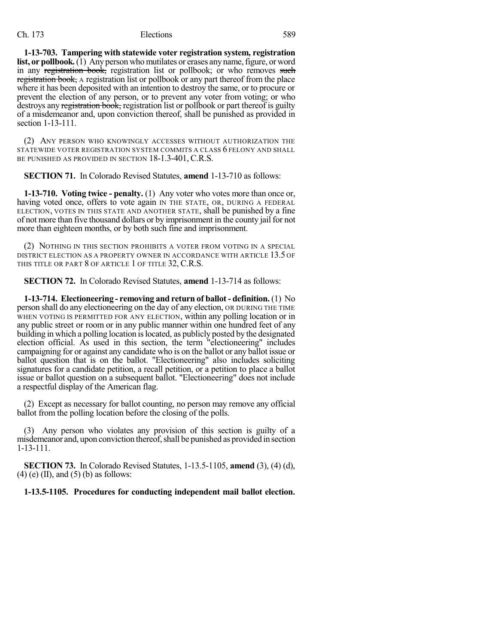**1-13-703. Tampering with statewide voter registration system, registration list, or pollbook.** (1) Any person who mutilates or erases any name, figure, or word in any registration book, registration list or pollbook; or who removes such registration book, A registration list or pollbook or any part thereof from the place where it has been deposited with an intention to destroy the same, or to procure or prevent the election of any person, or to prevent any voter from voting; or who destroys any registration book, registration list or pollbook or part thereof is guilty of a misdemeanor and, upon conviction thereof, shall be punished as provided in section 1-13-111.

(2) ANY PERSON WHO KNOWINGLY ACCESSES WITHOUT AUTHORIZATION THE STATEWIDE VOTER REGISTRATION SYSTEM COMMITS A CLASS 6 FELONY AND SHALL BE PUNISHED AS PROVIDED IN SECTION 18-1.3-401, C.R.S.

**SECTION 71.** In Colorado Revised Statutes, **amend** 1-13-710 as follows:

**1-13-710. Voting twice - penalty.** (1) Any voter who votes more than once or, having voted once, offers to vote again IN THE STATE, OR, DURING A FEDERAL ELECTION, VOTES IN THIS STATE AND ANOTHER STATE, shall be punished by a fine of not more than five thousand dollars or by imprisonment in the county jail for not more than eighteen months, or by both such fine and imprisonment.

(2) NOTHING IN THIS SECTION PROHIBITS A VOTER FROM VOTING IN A SPECIAL DISTRICT ELECTION AS A PROPERTY OWNER IN ACCORDANCE WITH ARTICLE 13.5 OF THIS TITLE OR PART 8 OF ARTICLE 1 OF TITLE 32, C.R.S.

**SECTION 72.** In Colorado Revised Statutes, **amend** 1-13-714 as follows:

**1-13-714. Electioneering - removing and return of ballot - definition.** (1) No person shall do any electioneering on the day of any election, OR DURING THE TIME WHEN VOTING IS PERMITTED FOR ANY ELECTION, within any polling location or in any public street or room or in any public manner within one hundred feet of any building in which a polling location is located, as publicly posted by the designated election official. As used in this section, the term "electioneering" includes campaigning for or against any candidate who is on the ballot or any ballot issue or ballot question that is on the ballot. "Electioneering" also includes soliciting signatures for a candidate petition, a recall petition, or a petition to place a ballot issue or ballot question on a subsequent ballot. "Electioneering" does not include a respectful display of the American flag.

(2) Except as necessary for ballot counting, no person may remove any official ballot from the polling location before the closing of the polls.

(3) Any person who violates any provision of this section is guilty of a misdemeanor and, upon conviction thereof, shall be punished as provided in section 1-13-111.

**SECTION 73.** In Colorado Revised Statutes, 1-13.5-1105, **amend** (3), (4) (d),  $(4)$  (e) (II), and (5) (b) as follows:

**1-13.5-1105. Procedures for conducting independent mail ballot election.**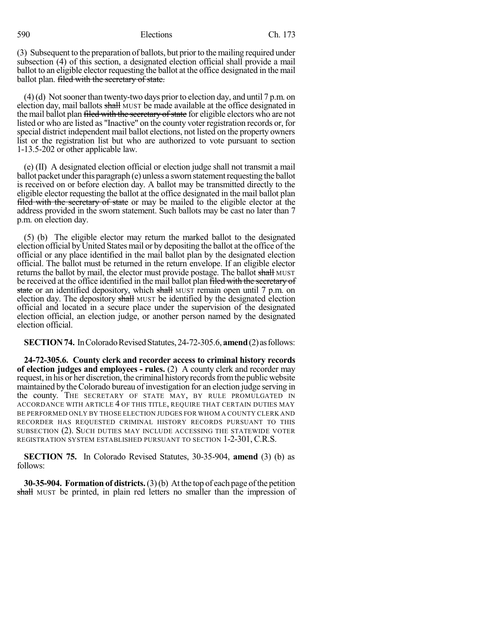(3) Subsequent to the preparation of ballots, but prior to the mailing required under subsection (4) of this section, a designated election official shall provide a mail ballot to an eligible elector requesting the ballot at the office designated in the mail ballot plan. **filed with the secretary of state.** 

 $(4)(d)$  Not sooner than twenty-two days prior to election day, and until 7 p.m. on election day, mail ballots shall MUST be made available at the office designated in the mail ballot plan filed with the secretary of state for eligible electors who are not listed or who are listed as "Inactive" on the county voter registration records or, for special district independent mail ballot elections, not listed on the property owners list or the registration list but who are authorized to vote pursuant to section 1-13.5-202 or other applicable law.

(e) (II) A designated election official or election judge shall not transmit a mail ballot packet under this paragraph (e) unless a sworn statement requesting the ballot is received on or before election day. A ballot may be transmitted directly to the eligible elector requesting the ballot at the office designated in the mail ballot plan filed with the secretary of state or may be mailed to the eligible elector at the address provided in the sworn statement. Such ballots may be cast no later than 7 p.m. on election day.

(5) (b) The eligible elector may return the marked ballot to the designated election official byUnited States mail or by depositing the ballot at the office of the official or any place identified in the mail ballot plan by the designated election official. The ballot must be returned in the return envelope. If an eligible elector returns the ballot by mail, the elector must provide postage. The ballot shall MUST be received at the office identified in the mail ballot plan filed with the secretary of state or an identified depository, which shall MUST remain open until 7 p.m. on election day. The depository shall MUST be identified by the designated election official and located in a secure place under the supervision of the designated election official, an election judge, or another person named by the designated election official.

**SECTION 74.** In Colorado Revised Statutes, 24-72-305.6, **amend** (2) as follows:

**24-72-305.6. County clerk and recorder access to criminal history records of election judges and employees - rules.** (2) A county clerk and recorder may request, in his or her discretion, the criminal history records from the public website maintained by the Colorado bureau of investigation for an election judge serving in the county. THE SECRETARY OF STATE MAY, BY RULE PROMULGATED IN ACCORDANCE WITH ARTICLE 4 OF THIS TITLE, REQUIRE THAT CERTAIN DUTIES MAY BE PERFORMED ONLY BY THOSE ELECTION JUDGES FOR WHOM A COUNTY CLERK AND RECORDER HAS REQUESTED CRIMINAL HISTORY RECORDS PURSUANT TO THIS SUBSECTION (2). SUCH DUTIES MAY INCLUDE ACCESSING THE STATEWIDE VOTER REGISTRATION SYSTEM ESTABLISHED PURSUANT TO SECTION 1-2-301, C.R.S.

**SECTION 75.** In Colorado Revised Statutes, 30-35-904, **amend** (3) (b) as follows:

**30-35-904. Formation of districts.**(3)(b) At the top of each page ofthe petition shall MUST be printed, in plain red letters no smaller than the impression of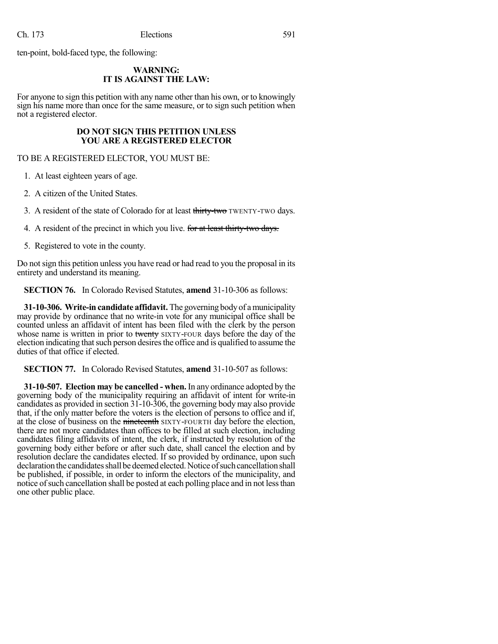ten-point, bold-faced type, the following:

#### **WARNING: IT IS AGAINST THE LAW:**

For anyone to sign this petition with any name other than his own, or to knowingly sign his name more than once for the same measure, or to sign such petition when not a registered elector.

#### **DO NOT SIGN THIS PETITION UNLESS YOU ARE A REGISTERED ELECTOR**

TO BE A REGISTERED ELECTOR, YOU MUST BE:

1. At least eighteen years of age.

2. A citizen of the United States.

3. A resident of the state of Colorado for at least thirty-two TWENTY-TWO days.

4. A resident of the precinct in which you live. for at least thirty-two days.

5. Registered to vote in the county.

Do not sign this petition unless you have read or had read to you the proposal in its entirety and understand its meaning.

**SECTION 76.** In Colorado Revised Statutes, **amend** 31-10-306 as follows:

**31-10-306. Write-in candidate affidavit.** The governing bodyof amunicipality may provide by ordinance that no write-in vote for any municipal office shall be counted unless an affidavit of intent has been filed with the clerk by the person whose name is written in prior to twenty SIXTY-FOUR days before the day of the election indicating that such person desires the office and is qualified to assume the duties of that office if elected.

**SECTION 77.** In Colorado Revised Statutes, **amend** 31-10-507 as follows:

**31-10-507. Election may be cancelled - when.** In any ordinance adopted by the governing body of the municipality requiring an affidavit of intent for write-in candidates as provided in section 31-10-306, the governing body may also provide that, if the only matter before the voters is the election of persons to office and if, at the close of business on the nineteenth SIXTY-FOURTH day before the election, there are not more candidates than offices to be filled at such election, including candidates filing affidavits of intent, the clerk, if instructed by resolution of the governing body either before or after such date, shall cancel the election and by resolution declare the candidates elected. If so provided by ordinance, upon such declaration the candidates shall be deemed elected. Notice of such cancellation shall be published, if possible, in order to inform the electors of the municipality, and notice of such cancellation shall be posted at each polling place and in not less than one other public place.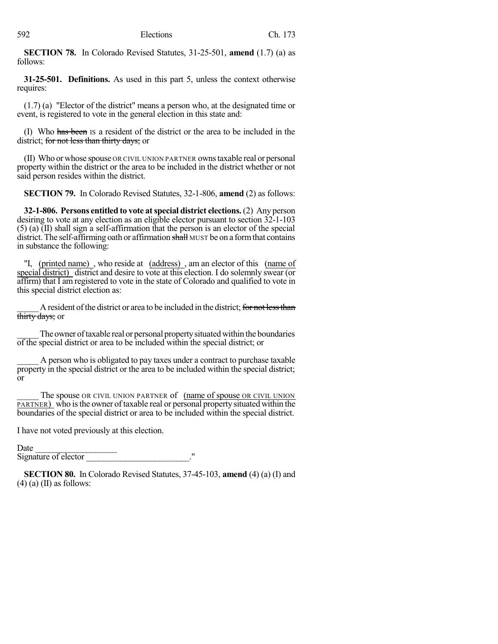**SECTION 78.** In Colorado Revised Statutes, 31-25-501, **amend** (1.7) (a) as follows:

**31-25-501. Definitions.** As used in this part 5, unless the context otherwise requires:

(1.7) (a) "Elector of the district" means a person who, at the designated time or event, is registered to vote in the general election in this state and:

(I) Who has been IS a resident of the district or the area to be included in the district; for not less than thirty days; or

(II) Who orwhose spouse OR CIVIL UNION PARTNER ownstaxable real or personal property within the district or the area to be included in the district whether or not said person resides within the district.

**SECTION 79.** In Colorado Revised Statutes, 32-1-806, **amend** (2) as follows:

**32-1-806. Persons entitled to vote atspecial district elections.** (2) Any person desiring to vote at any election as an eligible elector pursuant to section 32-1-103 (5) (a) (II) shall sign a self-affirmation that the person is an elector of the special district. The self-affirming oath or affirmation shall MUST be on a form that contains in substance the following:

"I, (printed name), who reside at (address), am an elector of this (name of special district) district and desire to vote at this election. I do solemnly swear (or affirm) that I am registered to vote in the state of Colorado and qualified to vote in this special district election as:

A resident of the district or area to be included in the district; for not less than thirty days; or

The owner of taxable real or personal property situated within the boundaries of the special district or area to be included within the special district; or

A person who is obligated to pay taxes under a contract to purchase taxable property in the special district or the area to be included within the special district; or

The spouse OR CIVIL UNION PARTNER of (name of spouse OR CIVIL UNION PARTNER) who isthe owner of taxable real or personal property situated within the boundaries of the special district or area to be included within the special district.

I have not voted previously at this election.

Date

Signature of elector

**SECTION 80.** In Colorado Revised Statutes, 37-45-103, **amend** (4) (a) (I) and  $(4)$  (a) (II) as follows: